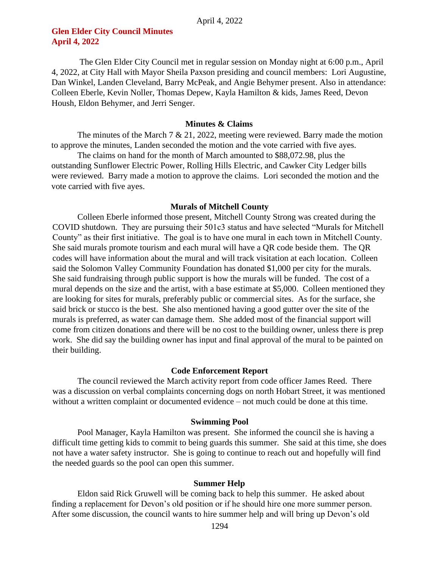## **Glen Elder City Council Minutes April 4, 2022**

The Glen Elder City Council met in regular session on Monday night at 6:00 p.m., April 4, 2022, at City Hall with Mayor Sheila Paxson presiding and council members: Lori Augustine, Dan Winkel, Landen Cleveland, Barry McPeak, and Angie Behymer present. Also in attendance: Colleen Eberle, Kevin Noller, Thomas Depew, Kayla Hamilton & kids, James Reed, Devon Housh, Eldon Behymer, and Jerri Senger.

### **Minutes & Claims**

The minutes of the March  $7 \& 21$ , 2022, meeting were reviewed. Barry made the motion to approve the minutes, Landen seconded the motion and the vote carried with five ayes.

The claims on hand for the month of March amounted to \$88,072.98, plus the outstanding Sunflower Electric Power, Rolling Hills Electric, and Cawker City Ledger bills were reviewed. Barry made a motion to approve the claims. Lori seconded the motion and the vote carried with five ayes.

### **Murals of Mitchell County**

Colleen Eberle informed those present, Mitchell County Strong was created during the COVID shutdown. They are pursuing their 501c3 status and have selected "Murals for Mitchell County" as their first initiative. The goal is to have one mural in each town in Mitchell County. She said murals promote tourism and each mural will have a QR code beside them. The QR codes will have information about the mural and will track visitation at each location. Colleen said the Solomon Valley Community Foundation has donated \$1,000 per city for the murals. She said fundraising through public support is how the murals will be funded. The cost of a mural depends on the size and the artist, with a base estimate at \$5,000. Colleen mentioned they are looking for sites for murals, preferably public or commercial sites. As for the surface, she said brick or stucco is the best. She also mentioned having a good gutter over the site of the murals is preferred, as water can damage them. She added most of the financial support will come from citizen donations and there will be no cost to the building owner, unless there is prep work. She did say the building owner has input and final approval of the mural to be painted on their building.

## **Code Enforcement Report**

The council reviewed the March activity report from code officer James Reed. There was a discussion on verbal complaints concerning dogs on north Hobart Street, it was mentioned without a written complaint or documented evidence – not much could be done at this time.

#### **Swimming Pool**

Pool Manager, Kayla Hamilton was present. She informed the council she is having a difficult time getting kids to commit to being guards this summer. She said at this time, she does not have a water safety instructor. She is going to continue to reach out and hopefully will find the needed guards so the pool can open this summer.

## **Summer Help**

Eldon said Rick Gruwell will be coming back to help this summer. He asked about finding a replacement for Devon's old position or if he should hire one more summer person. After some discussion, the council wants to hire summer help and will bring up Devon's old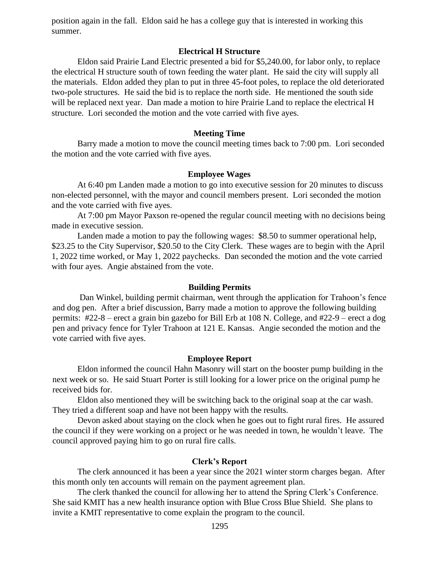position again in the fall. Eldon said he has a college guy that is interested in working this summer.

## **Electrical H Structure**

Eldon said Prairie Land Electric presented a bid for \$5,240.00, for labor only, to replace the electrical H structure south of town feeding the water plant. He said the city will supply all the materials. Eldon added they plan to put in three 45-foot poles, to replace the old deteriorated two-pole structures. He said the bid is to replace the north side. He mentioned the south side will be replaced next year. Dan made a motion to hire Prairie Land to replace the electrical H structure. Lori seconded the motion and the vote carried with five ayes.

## **Meeting Time**

Barry made a motion to move the council meeting times back to 7:00 pm. Lori seconded the motion and the vote carried with five ayes.

## **Employee Wages**

At 6:40 pm Landen made a motion to go into executive session for 20 minutes to discuss non-elected personnel, with the mayor and council members present. Lori seconded the motion and the vote carried with five ayes.

At 7:00 pm Mayor Paxson re-opened the regular council meeting with no decisions being made in executive session.

Landen made a motion to pay the following wages: \$8.50 to summer operational help, \$23.25 to the City Supervisor, \$20.50 to the City Clerk. These wages are to begin with the April 1, 2022 time worked, or May 1, 2022 paychecks. Dan seconded the motion and the vote carried with four ayes. Angie abstained from the vote.

## **Building Permits**

Dan Winkel, building permit chairman, went through the application for Trahoon's fence and dog pen. After a brief discussion, Barry made a motion to approve the following building permits: #22-8 – erect a grain bin gazebo for Bill Erb at 108 N. College, and #22-9 – erect a dog pen and privacy fence for Tyler Trahoon at 121 E. Kansas. Angie seconded the motion and the vote carried with five ayes.

## **Employee Report**

Eldon informed the council Hahn Masonry will start on the booster pump building in the next week or so. He said Stuart Porter is still looking for a lower price on the original pump he received bids for.

Eldon also mentioned they will be switching back to the original soap at the car wash. They tried a different soap and have not been happy with the results.

Devon asked about staying on the clock when he goes out to fight rural fires. He assured the council if they were working on a project or he was needed in town, he wouldn't leave. The council approved paying him to go on rural fire calls.

## **Clerk's Report**

The clerk announced it has been a year since the 2021 winter storm charges began. After this month only ten accounts will remain on the payment agreement plan.

The clerk thanked the council for allowing her to attend the Spring Clerk's Conference. She said KMIT has a new health insurance option with Blue Cross Blue Shield. She plans to invite a KMIT representative to come explain the program to the council.